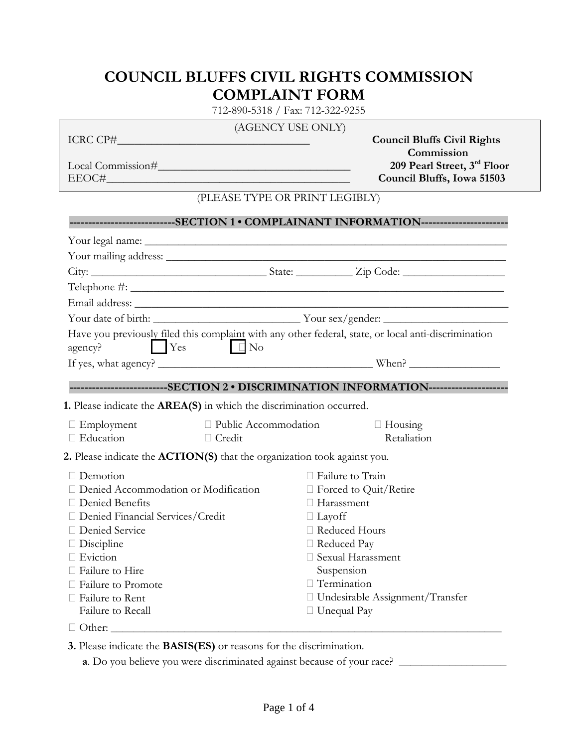## **COUNCIL BLUFFS CIVIL RIGHTS COMMISSION COMPLAINT FORM**

712-890-5318 / Fax: 712-322-9255

## (AGENCY USE ONLY)

Local Commission#\_\_\_\_\_\_\_\_\_\_\_\_\_\_\_\_\_\_\_\_\_\_\_\_\_\_\_\_\_\_\_\_\_\_ **209 Pearl Street, 3rd Floor**

ICRC CP#\_\_\_\_\_\_\_\_\_\_\_\_\_\_\_\_\_\_\_\_\_\_\_\_\_\_\_\_\_\_\_\_\_\_ **Council Bluffs Civil Rights Commission**<br>209 Pearl Street, 3<sup>rd</sup> Floor EEOC#\_\_\_\_\_\_\_\_\_\_\_\_\_\_\_\_\_\_\_\_\_\_\_\_\_\_\_\_\_\_\_\_\_\_\_\_\_\_\_\_\_\_\_ **Council Bluffs, Iowa 51503**

## (PLEASE TYPE OR PRINT LEGIBLY)

|                                                                                 |                        |  |                                   | --------------------------SECTION 1 • COMPLAINANT INFORMATION-----------------------                 |  |  |
|---------------------------------------------------------------------------------|------------------------|--|-----------------------------------|------------------------------------------------------------------------------------------------------|--|--|
|                                                                                 |                        |  |                                   |                                                                                                      |  |  |
|                                                                                 |                        |  |                                   |                                                                                                      |  |  |
|                                                                                 |                        |  |                                   |                                                                                                      |  |  |
|                                                                                 |                        |  |                                   |                                                                                                      |  |  |
|                                                                                 |                        |  |                                   |                                                                                                      |  |  |
|                                                                                 |                        |  |                                   |                                                                                                      |  |  |
| <b>Exercise</b> Yes<br>agency?                                                  | $\Box$ No              |  |                                   | Have you previously filed this complaint with any other federal, state, or local anti-discrimination |  |  |
|                                                                                 |                        |  |                                   |                                                                                                      |  |  |
|                                                                                 |                        |  |                                   | --------------------------SECTION 2 . DISCRIMINATION INFORMATION---------------------                |  |  |
|                                                                                 |                        |  |                                   |                                                                                                      |  |  |
| 1. Please indicate the AREA(S) in which the discrimination occurred.            |                        |  |                                   |                                                                                                      |  |  |
| $\Box$ Employment                                                               | □ Public Accommodation |  |                                   | $\Box$ Housing                                                                                       |  |  |
| $\Box$ Education                                                                | $\Box$ Credit          |  |                                   | Retaliation                                                                                          |  |  |
| 2. Please indicate the <b>ACTION(S)</b> that the organization took against you. |                        |  |                                   |                                                                                                      |  |  |
| Demotion                                                                        |                        |  | $\Box$ Failure to Train           |                                                                                                      |  |  |
| Denied Accommodation or Modification                                            |                        |  | $\Box$ Forced to Quit/Retire      |                                                                                                      |  |  |
| □ Denied Benefits                                                               |                        |  | $\Box$ Harassment                 |                                                                                                      |  |  |
| □ Denied Financial Services/Credit                                              |                        |  | $\Box$ Layoff                     |                                                                                                      |  |  |
| □ Denied Service                                                                |                        |  | □ Reduced Hours                   |                                                                                                      |  |  |
| $\Box$ Discipline                                                               |                        |  | □ Reduced Pay                     |                                                                                                      |  |  |
| □ Eviction                                                                      |                        |  |                                   | □ Sexual Harassment                                                                                  |  |  |
| Failure to Hire                                                                 |                        |  | Suspension                        |                                                                                                      |  |  |
| Failure to Promote                                                              |                        |  | □ Termination                     |                                                                                                      |  |  |
| Failure to Rent                                                                 |                        |  | □ Undesirable Assignment/Transfer |                                                                                                      |  |  |
| Failure to Recall                                                               |                        |  | $\Box$ Unequal Pay                |                                                                                                      |  |  |
|                                                                                 |                        |  |                                   |                                                                                                      |  |  |

**3.** Please indicate the **BASIS(ES)** or reasons for the discrimination.

**a**. Do you believe you were discriminated against because of your race? \_\_\_\_\_\_\_\_\_\_\_\_\_\_\_\_\_\_\_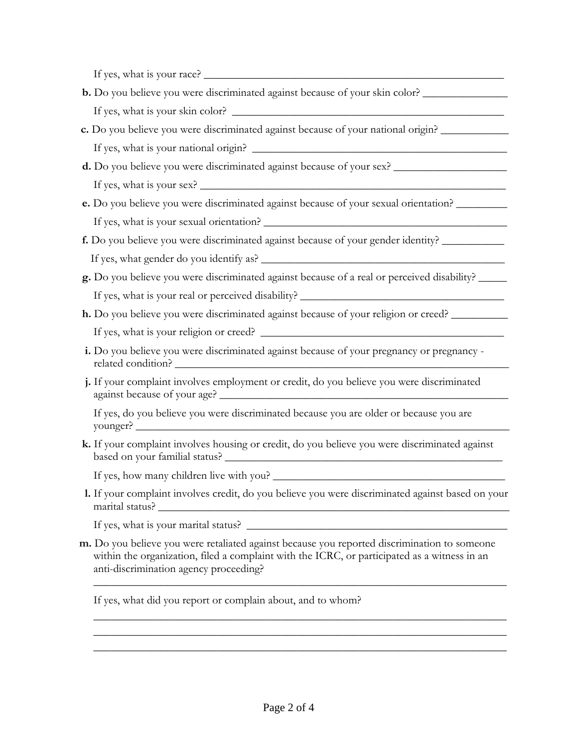If yes, what is your race? \_\_\_\_\_\_\_\_\_\_\_\_\_\_\_\_\_\_\_\_\_\_\_\_\_\_\_\_\_\_\_\_\_\_\_\_\_\_\_\_\_\_\_\_\_\_\_\_\_\_\_\_\_

- **b.** Do you believe you were discriminated against because of your skin color? If yes, what is your skin color?
- **c.** Do you believe you were discriminated against because of your national origin? \_\_\_\_\_\_\_\_\_\_\_\_ If yes, what is your national origin? \_\_\_\_\_\_\_\_\_\_\_\_\_\_\_\_\_\_\_\_\_\_\_\_\_\_\_\_\_\_\_\_\_\_\_\_\_\_\_\_\_\_\_\_\_
- **d.** Do you believe you were discriminated against because of your sex? \_\_\_\_\_\_\_\_\_\_\_\_\_\_\_\_\_\_\_\_

If yes, what is your sex? \_\_\_\_\_\_\_\_\_\_\_\_\_\_\_\_\_\_\_\_\_\_\_\_\_\_\_\_\_\_\_\_\_\_\_\_\_\_\_\_\_\_\_\_\_\_\_\_\_\_\_\_\_\_

 **e.** Do you believe you were discriminated against because of your sexual orientation? \_\_\_\_\_\_\_\_\_ If yes, what is your sexual orientation? \_\_\_\_\_\_\_\_\_\_\_\_\_\_\_\_\_\_\_\_\_\_\_\_\_\_\_\_\_\_\_\_\_\_\_\_\_\_\_\_\_\_\_

 **f.** Do you believe you were discriminated against because of your gender identity? \_\_\_\_\_\_\_\_\_\_\_ If yes, what gender do you identify as?

- **g.** Do you believe you were discriminated against because of a real or perceived disability? \_\_\_\_\_ If yes, what is your real or perceived disability? \_\_\_\_\_\_\_\_\_\_\_\_\_\_\_\_\_\_\_\_\_\_\_\_\_\_\_\_\_
- **h.** Do you believe you were discriminated against because of your religion or creed? \_\_\_\_\_\_\_\_\_\_

If yes, what is your religion or creed?

- i. Do you believe you were discriminated against because of your pregnancy or pregnancy related condition?
- **j.** If your complaint involves employment or credit, do you believe you were discriminated against because of your age? \_\_\_\_\_\_\_\_\_\_\_\_\_\_\_\_\_\_\_\_\_\_\_\_\_\_\_\_\_\_\_\_\_\_\_\_\_\_\_\_\_\_\_\_\_\_\_\_\_\_\_

 If yes, do you believe you were discriminated because you are older or because you are younger?  $\Box$ 

 **k.** If your complaint involves housing or credit, do you believe you were discriminated against based on your familial status? \_\_\_\_\_\_\_\_\_\_\_\_\_\_\_\_\_\_\_\_\_\_\_\_\_\_\_\_\_\_\_\_\_\_\_\_\_\_\_\_\_\_\_\_\_\_\_\_\_

If yes, how many children live with you? \_\_\_\_\_\_\_\_\_\_\_\_\_\_\_\_\_\_\_\_\_\_\_\_\_\_\_\_\_\_\_\_\_\_\_\_\_\_\_\_\_

 **l.** If your complaint involves credit, do you believe you were discriminated against based on your marital status?

If yes, what is your marital status? \_\_\_\_\_\_\_\_\_\_\_\_\_\_\_\_\_\_\_\_\_\_\_\_\_\_\_\_\_\_\_\_\_\_\_\_\_\_\_\_\_\_\_\_\_\_

 **m.** Do you believe you were retaliated against because you reported discrimination to someone within the organization, filed a complaint with the ICRC, or participated as a witness in an anti-discrimination agency proceeding?

\_\_\_\_\_\_\_\_\_\_\_\_\_\_\_\_\_\_\_\_\_\_\_\_\_\_\_\_\_\_\_\_\_\_\_\_\_\_\_\_\_\_\_\_\_\_\_\_\_\_\_\_\_\_\_\_\_\_\_\_\_\_\_\_\_\_\_\_\_\_\_\_\_

\_\_\_\_\_\_\_\_\_\_\_\_\_\_\_\_\_\_\_\_\_\_\_\_\_\_\_\_\_\_\_\_\_\_\_\_\_\_\_\_\_\_\_\_\_\_\_\_\_\_\_\_\_\_\_\_\_\_\_\_\_\_\_\_\_\_\_\_\_\_\_\_\_ \_\_\_\_\_\_\_\_\_\_\_\_\_\_\_\_\_\_\_\_\_\_\_\_\_\_\_\_\_\_\_\_\_\_\_\_\_\_\_\_\_\_\_\_\_\_\_\_\_\_\_\_\_\_\_\_\_\_\_\_\_\_\_\_\_\_\_\_\_\_\_\_\_ \_\_\_\_\_\_\_\_\_\_\_\_\_\_\_\_\_\_\_\_\_\_\_\_\_\_\_\_\_\_\_\_\_\_\_\_\_\_\_\_\_\_\_\_\_\_\_\_\_\_\_\_\_\_\_\_\_\_\_\_\_\_\_\_\_\_\_\_\_\_\_\_\_

If yes, what did you report or complain about, and to whom?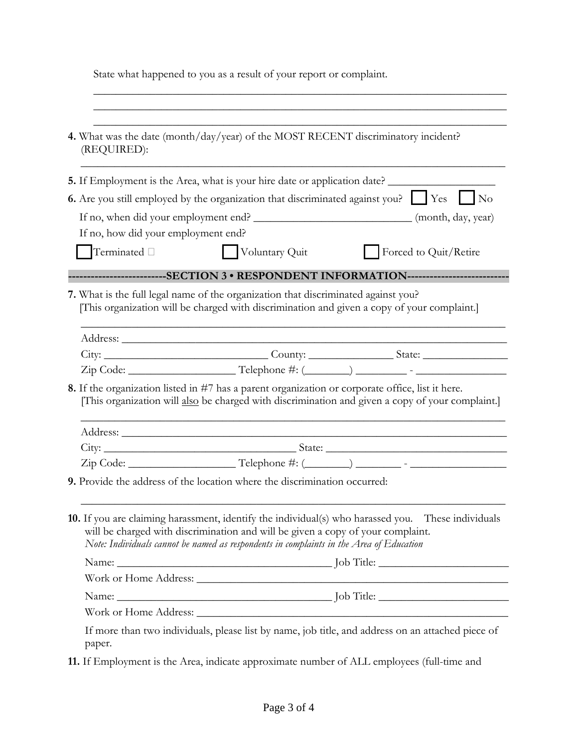State what happened to you as a result of your report or complaint.

 $\overline{\phantom{a}}$  ,  $\overline{\phantom{a}}$  ,  $\overline{\phantom{a}}$  ,  $\overline{\phantom{a}}$  ,  $\overline{\phantom{a}}$  ,  $\overline{\phantom{a}}$  ,  $\overline{\phantom{a}}$  ,  $\overline{\phantom{a}}$  ,  $\overline{\phantom{a}}$  ,  $\overline{\phantom{a}}$  ,  $\overline{\phantom{a}}$  ,  $\overline{\phantom{a}}$  ,  $\overline{\phantom{a}}$  ,  $\overline{\phantom{a}}$  ,  $\overline{\phantom{a}}$  ,  $\overline{\phantom{a}}$ 

| (REQUIRED):                         | 4. What was the date (month/day/year) of the MOST RECENT discriminatory incident?                                                                                                                                                                                                                                                                                           |  |
|-------------------------------------|-----------------------------------------------------------------------------------------------------------------------------------------------------------------------------------------------------------------------------------------------------------------------------------------------------------------------------------------------------------------------------|--|
|                                     | 5. If Employment is the Area, what is your hire date or application date?                                                                                                                                                                                                                                                                                                   |  |
|                                     | <b>6.</b> Are you still employed by the organization that discriminated against you? $\Box$ Yes $\Box$ No                                                                                                                                                                                                                                                                   |  |
| If no, how did your employment end? |                                                                                                                                                                                                                                                                                                                                                                             |  |
| Terminated $\square$                | Voluntary Quit<br>Forced to Quit/Retire                                                                                                                                                                                                                                                                                                                                     |  |
|                                     | ------------------------SECTION 3 • RESPONDENT INFORMATION------------------------                                                                                                                                                                                                                                                                                          |  |
|                                     | 7. What is the full legal name of the organization that discriminated against you?<br>[This organization will be charged with discrimination and given a copy of your complaint.]                                                                                                                                                                                           |  |
|                                     |                                                                                                                                                                                                                                                                                                                                                                             |  |
|                                     |                                                                                                                                                                                                                                                                                                                                                                             |  |
|                                     | $\text{Zip Code:}\n \begin{picture}(150,10) \put(0,0){\vector(1,0){100}} \put(15,0){\vector(1,0){100}} \put(15,0){\vector(1,0){100}} \put(15,0){\vector(1,0){100}} \put(15,0){\vector(1,0){100}} \put(15,0){\vector(1,0){100}} \put(15,0){\vector(1,0){100}} \put(15,0){\vector(1,0){100}} \put(15,0){\vector(1,0){100}} \put(15,0){\vector(1,0){100}} \put(15,0){\vector($ |  |
|                                     | 8. If the organization listed in #7 has a parent organization or corporate office, list it here.<br>[This organization will also be charged with discrimination and given a copy of your complaint.]                                                                                                                                                                        |  |
|                                     |                                                                                                                                                                                                                                                                                                                                                                             |  |
|                                     |                                                                                                                                                                                                                                                                                                                                                                             |  |
|                                     |                                                                                                                                                                                                                                                                                                                                                                             |  |
|                                     | 9. Provide the address of the location where the discrimination occurred:                                                                                                                                                                                                                                                                                                   |  |
|                                     | 10. If you are claiming harassment, identify the individual(s) who harassed you. These individuals<br>will be charged with discrimination and will be given a copy of your complaint.<br>Note: Individuals cannot be named as respondents in complaints in the Area of Education                                                                                            |  |
|                                     |                                                                                                                                                                                                                                                                                                                                                                             |  |
|                                     |                                                                                                                                                                                                                                                                                                                                                                             |  |
|                                     |                                                                                                                                                                                                                                                                                                                                                                             |  |
|                                     |                                                                                                                                                                                                                                                                                                                                                                             |  |
| paper.                              | If more than two individuals, please list by name, job title, and address on an attached piece of                                                                                                                                                                                                                                                                           |  |

**11.** If Employment is the Area, indicate approximate number of ALL employees (full-time and